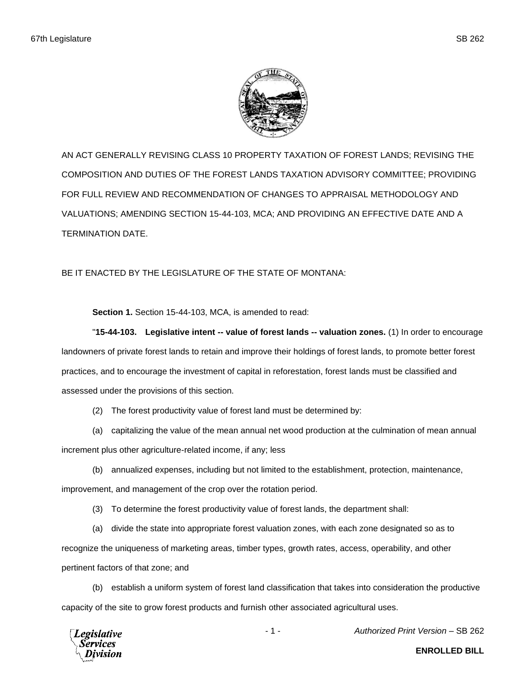

AN ACT GENERALLY REVISING CLASS 10 PROPERTY TAXATION OF FOREST LANDS; REVISING THE COMPOSITION AND DUTIES OF THE FOREST LANDS TAXATION ADVISORY COMMITTEE; PROVIDING FOR FULL REVIEW AND RECOMMENDATION OF CHANGES TO APPRAISAL METHODOLOGY AND VALUATIONS; AMENDING SECTION 15-44-103, MCA; AND PROVIDING AN EFFECTIVE DATE AND A TERMINATION DATE.

BE IT ENACTED BY THE LEGISLATURE OF THE STATE OF MONTANA:

**Section 1.** Section 15-44-103, MCA, is amended to read:

"**15-44-103. Legislative intent -- value of forest lands -- valuation zones.** (1) In order to encourage landowners of private forest lands to retain and improve their holdings of forest lands, to promote better forest practices, and to encourage the investment of capital in reforestation, forest lands must be classified and assessed under the provisions of this section.

(2) The forest productivity value of forest land must be determined by:

(a) capitalizing the value of the mean annual net wood production at the culmination of mean annual increment plus other agriculture-related income, if any; less

(b) annualized expenses, including but not limited to the establishment, protection, maintenance,

improvement, and management of the crop over the rotation period.

(3) To determine the forest productivity value of forest lands, the department shall:

(a) divide the state into appropriate forest valuation zones, with each zone designated so as to recognize the uniqueness of marketing areas, timber types, growth rates, access, operability, and other pertinent factors of that zone; and

(b) establish a uniform system of forest land classification that takes into consideration the productive capacity of the site to grow forest products and furnish other associated agricultural uses.



- 1 - *Authorized Print Version* – SB 262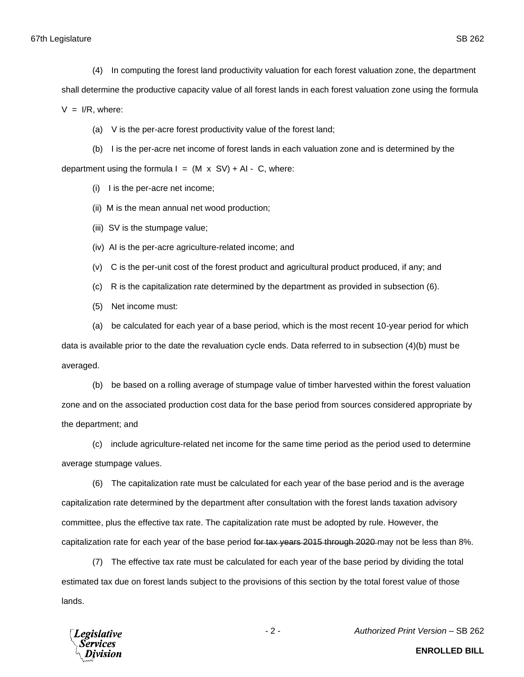- (4) In computing the forest land productivity valuation for each forest valuation zone, the department shall determine the productive capacity value of all forest lands in each forest valuation zone using the formula  $V = I/R$ , where:
	- (a) V is the per-acre forest productivity value of the forest land;

(b) I is the per-acre net income of forest lands in each valuation zone and is determined by the department using the formula  $I = (M \times SV) + AI - C$ , where:

(i) I is the per-acre net income;

- (ii) M is the mean annual net wood production;
- (iii) SV is the stumpage value;
- (iv) AI is the per-acre agriculture-related income; and
- (v) C is the per-unit cost of the forest product and agricultural product produced, if any; and
- (c) R is the capitalization rate determined by the department as provided in subsection (6).
- (5) Net income must:

(a) be calculated for each year of a base period, which is the most recent 10-year period for which data is available prior to the date the revaluation cycle ends. Data referred to in subsection (4)(b) must be averaged.

(b) be based on a rolling average of stumpage value of timber harvested within the forest valuation zone and on the associated production cost data for the base period from sources considered appropriate by the department; and

(c) include agriculture-related net income for the same time period as the period used to determine average stumpage values.

(6) The capitalization rate must be calculated for each year of the base period and is the average capitalization rate determined by the department after consultation with the forest lands taxation advisory committee, plus the effective tax rate. The capitalization rate must be adopted by rule. However, the capitalization rate for each year of the base period for tax years 2015 through 2020 may not be less than 8%.

(7) The effective tax rate must be calculated for each year of the base period by dividing the total estimated tax due on forest lands subject to the provisions of this section by the total forest value of those lands.



**ENROLLED BILL**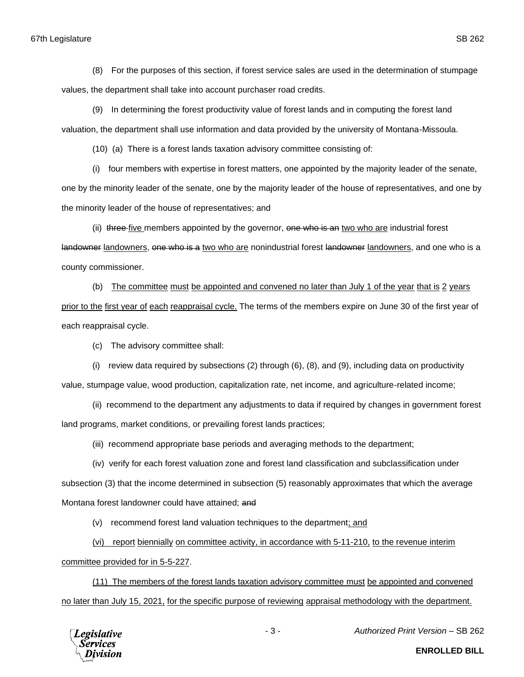(8) For the purposes of this section, if forest service sales are used in the determination of stumpage values, the department shall take into account purchaser road credits.

(9) In determining the forest productivity value of forest lands and in computing the forest land valuation, the department shall use information and data provided by the university of Montana-Missoula.

(10) (a) There is a forest lands taxation advisory committee consisting of:

(i) four members with expertise in forest matters, one appointed by the majority leader of the senate, one by the minority leader of the senate, one by the majority leader of the house of representatives, and one by the minority leader of the house of representatives; and

(ii) three five members appointed by the governor, one who is an two who are industrial forest landowner landowners, one who is a two who are nonindustrial forest landowner landowners, and one who is a county commissioner.

(b) The committee must be appointed and convened no later than July 1 of the year that is 2 years prior to the first year of each reappraisal cycle. The terms of the members expire on June 30 of the first year of each reappraisal cycle.

(c) The advisory committee shall:

(i) review data required by subsections  $(2)$  through  $(6)$ ,  $(8)$ , and  $(9)$ , including data on productivity value, stumpage value, wood production, capitalization rate, net income, and agriculture-related income;

(ii) recommend to the department any adjustments to data if required by changes in government forest land programs, market conditions, or prevailing forest lands practices;

(iii) recommend appropriate base periods and averaging methods to the department;

(iv) verify for each forest valuation zone and forest land classification and subclassification under subsection (3) that the income determined in subsection (5) reasonably approximates that which the average Montana forest landowner could have attained; and

(v) recommend forest land valuation techniques to the department; and

(vi) report biennially on committee activity, in accordance with 5-11-210, to the revenue interim committee provided for in 5-5-227.

(11) The members of the forest lands taxation advisory committee must be appointed and convened no later than July 15, 2021, for the specific purpose of reviewing appraisal methodology with the department.



- 3 - *Authorized Print Version* – SB 262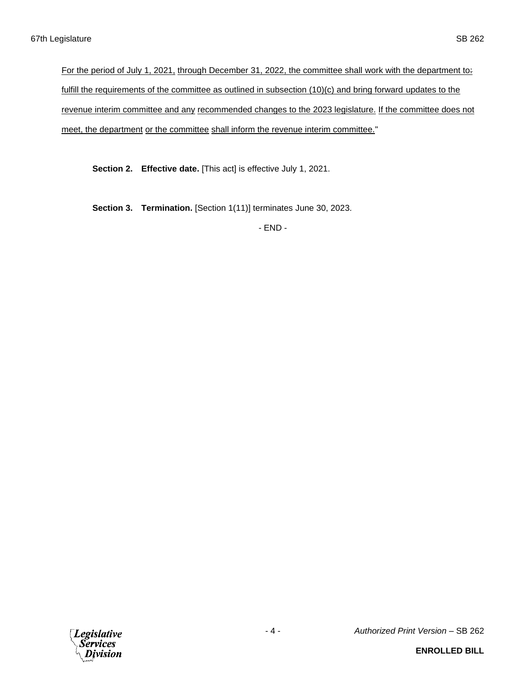For the period of July 1, 2021, through December 31, 2022, the committee shall work with the department to: fulfill the requirements of the committee as outlined in subsection (10)(c) and bring forward updates to the revenue interim committee and any recommended changes to the 2023 legislature. If the committee does not meet, the department or the committee shall inform the revenue interim committee."

**Section 2. Effective date.** [This act] is effective July 1, 2021.

**Section 3. Termination.** [Section 1(11)] terminates June 30, 2023.

- END -

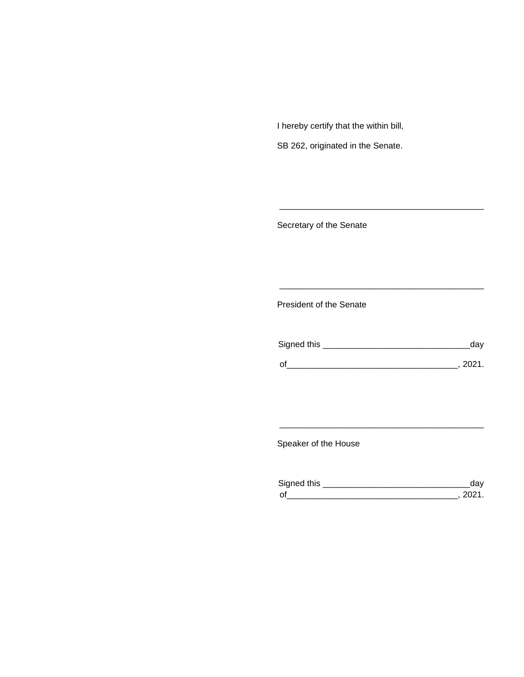I hereby certify that the within bill,

SB 262, originated in the Senate.

Secretary of the Senate

President of the Senate

| Signed this | uav    |
|-------------|--------|
|             | 111'11 |
| $\Omega$    |        |

\_\_\_\_\_\_\_\_\_\_\_\_\_\_\_\_\_\_\_\_\_\_\_\_\_\_\_\_\_\_\_\_\_\_\_\_\_\_\_\_\_\_\_

\_\_\_\_\_\_\_\_\_\_\_\_\_\_\_\_\_\_\_\_\_\_\_\_\_\_\_\_\_\_\_\_\_\_\_\_\_\_\_\_\_\_\_

Speaker of the House

| Sianed this |  |
|-------------|--|
| $\sim$      |  |

\_\_\_\_\_\_\_\_\_\_\_\_\_\_\_\_\_\_\_\_\_\_\_\_\_\_\_\_\_\_\_\_\_\_\_\_\_\_\_\_\_\_\_